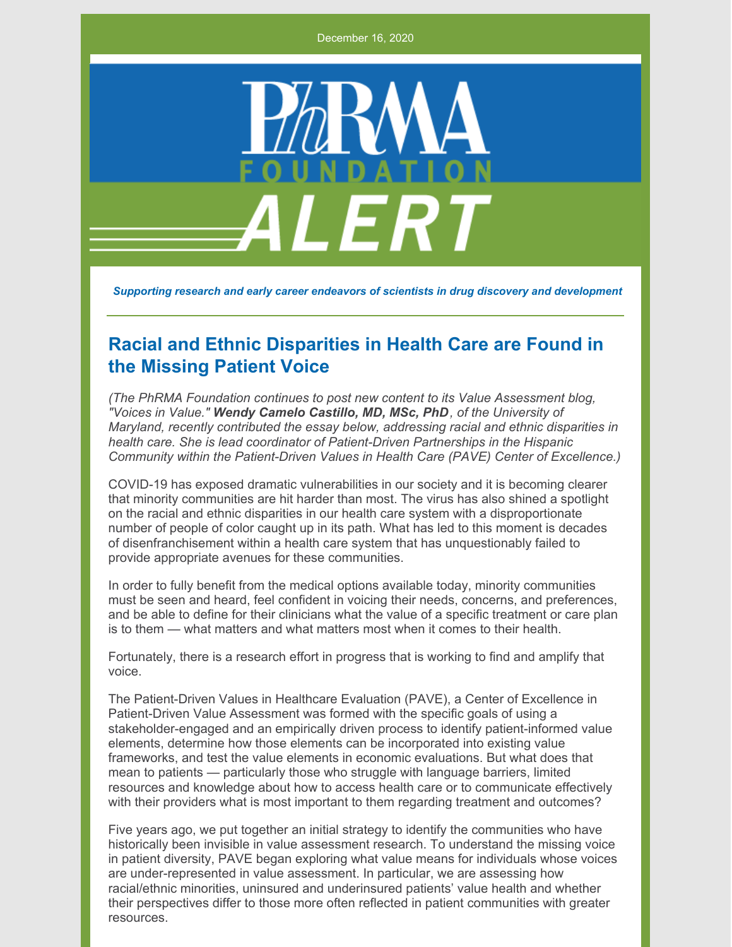December 16, 2020



*Supporting research and early career endeavors of scientists in drug discovery and development*

## **Racial and Ethnic Disparities in Health Care are Found in the Missing Patient Voice**

*(The PhRMA Foundation continues to post new content to its Value Assessment blog, "Voices in Value." Wendy Camelo Castillo, MD, MSc, PhD, of the University of Maryland, recently contributed the essay below, addressing racial and ethnic disparities in health care. She is lead coordinator of Patient-Driven Partnerships in the Hispanic Community within the Patient-Driven Values in Health Care (PAVE) Center of Excellence.)*

COVID-19 has exposed dramatic vulnerabilities in our society and it is becoming clearer that minority communities are hit harder than most. The virus has also shined a spotlight on the racial and ethnic disparities in our health care system with a disproportionate number of people of color caught up in its path. What has led to this moment is decades of disenfranchisement within a health care system that has unquestionably failed to provide appropriate avenues for these communities.

In order to fully benefit from the medical options available today, minority communities must be seen and heard, feel confident in voicing their needs, concerns, and preferences, and be able to define for their clinicians what the value of a specific treatment or care plan is to them — what matters and what matters most when it comes to their health.

Fortunately, there is a research effort in progress that is working to find and amplify that voice.

The Patient-Driven Values in Healthcare Evaluation (PAVE), a Center of Excellence in Patient-Driven Value Assessment was formed with the specific goals of using a stakeholder-engaged and an empirically driven process to identify patient-informed value elements, determine how those elements can be incorporated into existing value frameworks, and test the value elements in economic evaluations. But what does that mean to patients — particularly those who struggle with language barriers, limited resources and knowledge about how to access health care or to communicate effectively with their providers what is most important to them regarding treatment and outcomes?

Five years ago, we put together an initial strategy to identify the communities who have historically been invisible in value assessment research. To understand the missing voice in patient diversity, PAVE began exploring what value means for individuals whose voices are under-represented in value assessment. In particular, we are assessing how racial/ethnic minorities, uninsured and underinsured patients' value health and whether their perspectives differ to those more often reflected in patient communities with greater resources.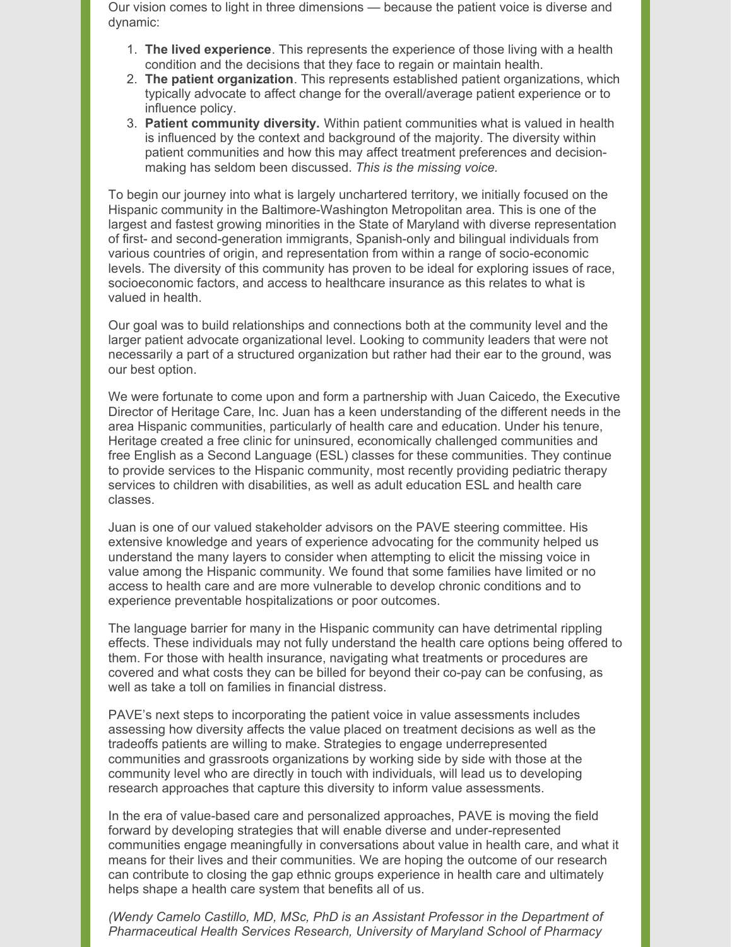Our vision comes to light in three dimensions — because the patient voice is diverse and dynamic:

- 1. **The lived experience**. This represents the experience of those living with a health condition and the decisions that they face to regain or maintain health.
- 2. **The patient organization**. This represents established patient organizations, which typically advocate to affect change for the overall/average patient experience or to influence policy.
- 3. **Patient community diversity.** Within patient communities what is valued in health is influenced by the context and background of the majority. The diversity within patient communities and how this may affect treatment preferences and decisionmaking has seldom been discussed. *This is the missing voice.*

To begin our journey into what is largely unchartered territory, we initially focused on the Hispanic community in the Baltimore-Washington Metropolitan area. This is one of the largest and fastest growing minorities in the State of Maryland with diverse representation of first- and second-generation immigrants, Spanish-only and bilingual individuals from various countries of origin, and representation from within a range of socio-economic levels. The diversity of this community has proven to be ideal for exploring issues of race, socioeconomic factors, and access to healthcare insurance as this relates to what is valued in health.

Our goal was to build relationships and connections both at the community level and the larger patient advocate organizational level. Looking to community leaders that were not necessarily a part of a structured organization but rather had their ear to the ground, was our best option.

We were fortunate to come upon and form a partnership with Juan Caicedo, the Executive Director of Heritage Care, Inc. Juan has a keen understanding of the different needs in the area Hispanic communities, particularly of health care and education. Under his tenure, Heritage created a free clinic for uninsured, economically challenged communities and free English as a Second Language (ESL) classes for these communities. They continue to provide services to the Hispanic community, most recently providing pediatric therapy services to children with disabilities, as well as adult education ESL and health care classes.

Juan is one of our valued stakeholder advisors on the PAVE steering committee. His extensive knowledge and years of experience advocating for the community helped us understand the many layers to consider when attempting to elicit the missing voice in value among the Hispanic community. We found that some families have limited or no access to health care and are more vulnerable to develop chronic conditions and to experience preventable hospitalizations or poor outcomes.

The language barrier for many in the Hispanic community can have detrimental rippling effects. These individuals may not fully understand the health care options being offered to them. For those with health insurance, navigating what treatments or procedures are covered and what costs they can be billed for beyond their co-pay can be confusing, as well as take a toll on families in financial distress.

PAVE's next steps to incorporating the patient voice in value assessments includes assessing how diversity affects the value placed on treatment decisions as well as the tradeoffs patients are willing to make. Strategies to engage underrepresented communities and grassroots organizations by working side by side with those at the community level who are directly in touch with individuals, will lead us to developing research approaches that capture this diversity to inform value assessments.

In the era of value-based care and personalized approaches, PAVE is moving the field forward by developing strategies that will enable diverse and under-represented communities engage meaningfully in conversations about value in health care, and what it means for their lives and their communities. We are hoping the outcome of our research can contribute to closing the gap ethnic groups experience in health care and ultimately helps shape a health care system that benefits all of us.

*(Wendy Camelo Castillo, MD, MSc, PhD is an Assistant Professor in the Department of Pharmaceutical Health Services Research, University of Maryland School of Pharmacy*